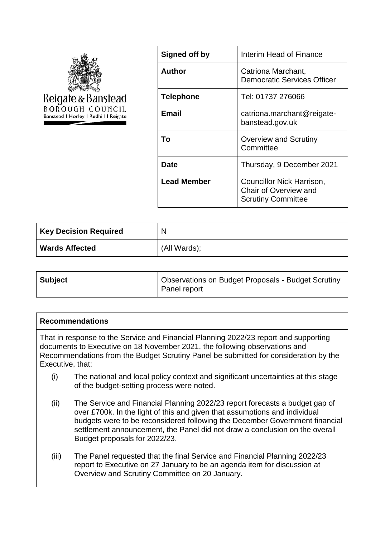

| Signed off by      | Interim Head of Finance                                                         |
|--------------------|---------------------------------------------------------------------------------|
| Author             | Catriona Marchant,<br><b>Democratic Services Officer</b>                        |
| <b>Telephone</b>   | Tel: 01737 276066                                                               |
| <b>Email</b>       | catriona.marchant@reigate-<br>banstead.gov.uk                                   |
| Тο                 | Overview and Scrutiny<br>Committee                                              |
| Date               | Thursday, 9 December 2021                                                       |
| <b>Lead Member</b> | Councillor Nick Harrison,<br>Chair of Overview and<br><b>Scrutiny Committee</b> |

| <b>Key Decision Required</b> | $\mathsf{N}$ |
|------------------------------|--------------|
| <b>Wards Affected</b>        | (All Wards); |

| <b>Subject</b> | Observations on Budget Proposals - Budget Scrutiny<br>Panel report |
|----------------|--------------------------------------------------------------------|
|                |                                                                    |

#### **Recommendations**

That in response to the Service and Financial Planning 2022/23 report and supporting documents to Executive on 18 November 2021, the following observations and Recommendations from the Budget Scrutiny Panel be submitted for consideration by the Executive, that:

- (i) The national and local policy context and significant uncertainties at this stage of the budget-setting process were noted.
- (ii) The Service and Financial Planning 2022/23 report forecasts a budget gap of over £700k. In the light of this and given that assumptions and individual budgets were to be reconsidered following the December Government financial settlement announcement, the Panel did not draw a conclusion on the overall Budget proposals for 2022/23.
- (iii) The Panel requested that the final Service and Financial Planning 2022/23 report to Executive on 27 January to be an agenda item for discussion at Overview and Scrutiny Committee on 20 January.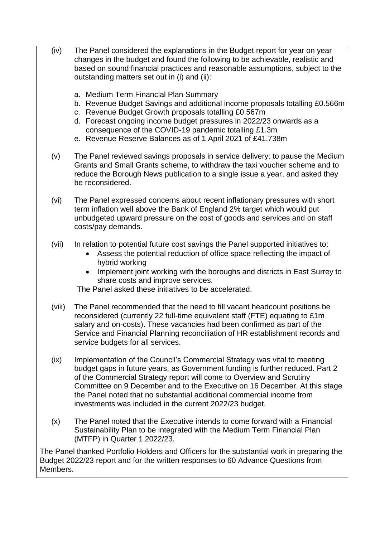- (iv) The Panel considered the explanations in the Budget report for year on year changes in the budget and found the following to be achievable, realistic and based on sound financial practices and reasonable assumptions, subject to the outstanding matters set out in (i) and (ii):
	- a. Medium Term Financial Plan Summary
	- b. Revenue Budget Savings and additional income proposals totalling £0.566m
	- c. Revenue Budget Growth proposals totalling £0.567m
	- d. Forecast ongoing income budget pressures in 2022/23 onwards as a consequence of the COVID-19 pandemic totalling £1.3m
	- e. Revenue Reserve Balances as of 1 April 2021 of £41.738m
	- (v) The Panel reviewed savings proposals in service delivery: to pause the Medium Grants and Small Grants scheme, to withdraw the taxi voucher scheme and to reduce the Borough News publication to a single issue a year, and asked they be reconsidered.
	- (vi) The Panel expressed concerns about recent inflationary pressures with short term inflation well above the Bank of England 2% target which would put unbudgeted upward pressure on the cost of goods and services and on staff costs/pay demands.
	- (vii) In relation to potential future cost savings the Panel supported initiatives to:
		- Assess the potential reduction of office space reflecting the impact of hybrid working
		- Implement joint working with the boroughs and districts in East Surrey to share costs and improve services.

The Panel asked these initiatives to be accelerated.

- (viii) The Panel recommended that the need to fill vacant headcount positions be reconsidered (currently 22 full-time equivalent staff (FTE) equating to £1m salary and on-costs). These vacancies had been confirmed as part of the Service and Financial Planning reconciliation of HR establishment records and service budgets for all services.
- (ix) Implementation of the Council's Commercial Strategy was vital to meeting budget gaps in future years, as Government funding is further reduced. Part 2 of the Commercial Strategy report will come to Overview and Scrutiny Committee on 9 December and to the Executive on 16 December. At this stage the Panel noted that no substantial additional commercial income from investments was included in the current 2022/23 budget.
- (x) The Panel noted that the Executive intends to come forward with a Financial Sustainability Plan to be integrated with the Medium Term Financial Plan (MTFP) in Quarter 1 2022/23.

The Panel thanked Portfolio Holders and Officers for the substantial work in preparing the Budget 2022/23 report and for the written responses to 60 Advance Questions from Members.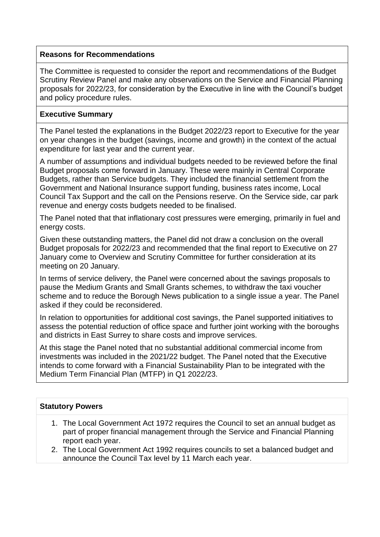## **Reasons for Recommendations**

The Committee is requested to consider the report and recommendations of the Budget Scrutiny Review Panel and make any observations on the Service and Financial Planning proposals for 2022/23, for consideration by the Executive in line with the Council's budget and policy procedure rules.

# **Executive Summary**

The Panel tested the explanations in the Budget 2022/23 report to Executive for the year on year changes in the budget (savings, income and growth) in the context of the actual expenditure for last year and the current year.

A number of assumptions and individual budgets needed to be reviewed before the final Budget proposals come forward in January. These were mainly in Central Corporate Budgets, rather than Service budgets. They included the financial settlement from the Government and National Insurance support funding, business rates income, Local Council Tax Support and the call on the Pensions reserve. On the Service side, car park revenue and energy costs budgets needed to be finalised.

The Panel noted that that inflationary cost pressures were emerging, primarily in fuel and energy costs.

Given these outstanding matters, the Panel did not draw a conclusion on the overall Budget proposals for 2022/23 and recommended that the final report to Executive on 27 January come to Overview and Scrutiny Committee for further consideration at its meeting on 20 January.

In terms of service delivery, the Panel were concerned about the savings proposals to pause the Medium Grants and Small Grants schemes, to withdraw the taxi voucher scheme and to reduce the Borough News publication to a single issue a year. The Panel asked if they could be reconsidered.

In relation to opportunities for additional cost savings, the Panel supported initiatives to assess the potential reduction of office space and further joint working with the boroughs and districts in East Surrey to share costs and improve services.

At this stage the Panel noted that no substantial additional commercial income from investments was included in the 2021/22 budget. The Panel noted that the Executive intends to come forward with a Financial Sustainability Plan to be integrated with the Medium Term Financial Plan (MTFP) in Q1 2022/23.

### **Statutory Powers**

- 1. The Local Government Act 1972 requires the Council to set an annual budget as part of proper financial management through the Service and Financial Planning report each year.
- 2. The Local Government Act 1992 requires councils to set a balanced budget and announce the Council Tax level by 11 March each year.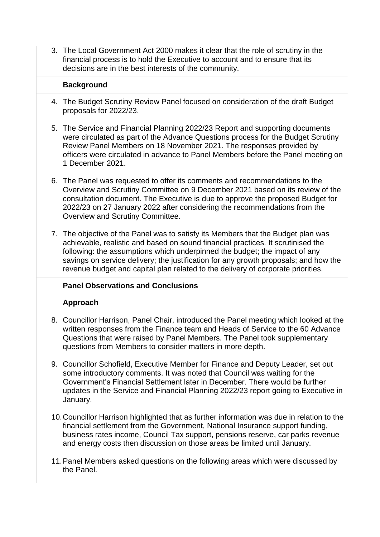3. The Local Government Act 2000 makes it clear that the role of scrutiny in the financial process is to hold the Executive to account and to ensure that its decisions are in the best interests of the community.

### **Background**

- 4. The Budget Scrutiny Review Panel focused on consideration of the draft Budget proposals for 2022/23.
- 5. The Service and Financial Planning 2022/23 Report and supporting documents were circulated as part of the Advance Questions process for the Budget Scrutiny Review Panel Members on 18 November 2021. The responses provided by officers were circulated in advance to Panel Members before the Panel meeting on 1 December 2021.
- 6. The Panel was requested to offer its comments and recommendations to the Overview and Scrutiny Committee on 9 December 2021 based on its review of the consultation document. The Executive is due to approve the proposed Budget for 2022/23 on 27 January 2022 after considering the recommendations from the Overview and Scrutiny Committee.
- 7. The objective of the Panel was to satisfy its Members that the Budget plan was achievable, realistic and based on sound financial practices. It scrutinised the following: the assumptions which underpinned the budget; the impact of any savings on service delivery; the justification for any growth proposals; and how the revenue budget and capital plan related to the delivery of corporate priorities.

# **Panel Observations and Conclusions**

### **Approach**

- 8. Councillor Harrison, Panel Chair, introduced the Panel meeting which looked at the written responses from the Finance team and Heads of Service to the 60 Advance Questions that were raised by Panel Members. The Panel took supplementary questions from Members to consider matters in more depth.
- 9. Councillor Schofield, Executive Member for Finance and Deputy Leader, set out some introductory comments. It was noted that Council was waiting for the Government's Financial Settlement later in December. There would be further updates in the Service and Financial Planning 2022/23 report going to Executive in January.
- 10.Councillor Harrison highlighted that as further information was due in relation to the financial settlement from the Government, National Insurance support funding, business rates income, Council Tax support, pensions reserve, car parks revenue and energy costs then discussion on those areas be limited until January.
- 11.Panel Members asked questions on the following areas which were discussed by the Panel.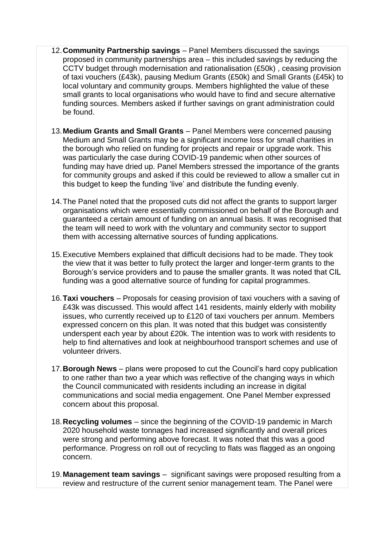- 12.**Community Partnership savings**  Panel Members discussed the savings proposed in community partnerships area – this included savings by reducing the CCTV budget through modernisation and rationalisation (£50k) , ceasing provision of taxi vouchers (£43k), pausing Medium Grants (£50k) and Small Grants (£45k) to local voluntary and community groups. Members highlighted the value of these small grants to local organisations who would have to find and secure alternative funding sources. Members asked if further savings on grant administration could be found.
- 13.**Medium Grants and Small Grants** Panel Members were concerned pausing Medium and Small Grants may be a significant income loss for small charities in the borough who relied on funding for projects and repair or upgrade work. This was particularly the case during COVID-19 pandemic when other sources of funding may have dried up. Panel Members stressed the importance of the grants for community groups and asked if this could be reviewed to allow a smaller cut in this budget to keep the funding 'live' and distribute the funding evenly.
- 14.The Panel noted that the proposed cuts did not affect the grants to support larger organisations which were essentially commissioned on behalf of the Borough and guaranteed a certain amount of funding on an annual basis. It was recognised that the team will need to work with the voluntary and community sector to support them with accessing alternative sources of funding applications.
- 15.Executive Members explained that difficult decisions had to be made. They took the view that it was better to fully protect the larger and longer-term grants to the Borough's service providers and to pause the smaller grants. It was noted that CIL funding was a good alternative source of funding for capital programmes.
- 16.**Taxi vouchers** Proposals for ceasing provision of taxi vouchers with a saving of £43k was discussed. This would affect 141 residents, mainly elderly with mobility issues, who currently received up to £120 of taxi vouchers per annum. Members expressed concern on this plan. It was noted that this budget was consistently underspent each year by about £20k. The intention was to work with residents to help to find alternatives and look at neighbourhood transport schemes and use of volunteer drivers.
- 17.**Borough News** plans were proposed to cut the Council's hard copy publication to one rather than two a year which was reflective of the changing ways in which the Council communicated with residents including an increase in digital communications and social media engagement. One Panel Member expressed concern about this proposal.
- 18.**Recycling volumes** since the beginning of the COVID-19 pandemic in March 2020 household waste tonnages had increased significantly and overall prices were strong and performing above forecast. It was noted that this was a good performance. Progress on roll out of recycling to flats was flagged as an ongoing concern.
- 19.**Management team savings**  significant savings were proposed resulting from a review and restructure of the current senior management team. The Panel were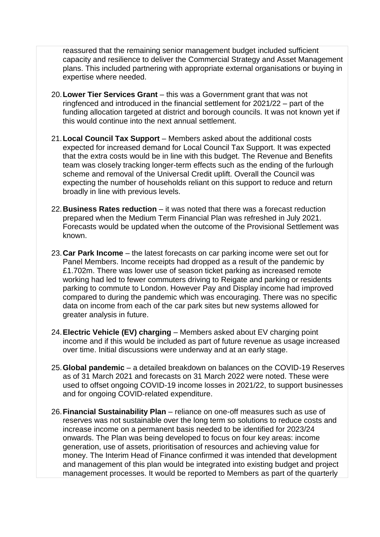reassured that the remaining senior management budget included sufficient capacity and resilience to deliver the Commercial Strategy and Asset Management plans. This included partnering with appropriate external organisations or buying in expertise where needed.

- 20.**Lower Tier Services Grant** this was a Government grant that was not ringfenced and introduced in the financial settlement for 2021/22 – part of the funding allocation targeted at district and borough councils. It was not known yet if this would continue into the next annual settlement.
- 21.**Local Council Tax Support** Members asked about the additional costs expected for increased demand for Local Council Tax Support. It was expected that the extra costs would be in line with this budget. The Revenue and Benefits team was closely tracking longer-term effects such as the ending of the furlough scheme and removal of the Universal Credit uplift. Overall the Council was expecting the number of households reliant on this support to reduce and return broadly in line with previous levels.
- 22.**Business Rates reduction** it was noted that there was a forecast reduction prepared when the Medium Term Financial Plan was refreshed in July 2021. Forecasts would be updated when the outcome of the Provisional Settlement was known.
- 23.**Car Park Income**  the latest forecasts on car parking income were set out for Panel Members. Income receipts had dropped as a result of the pandemic by £1.702m. There was lower use of season ticket parking as increased remote working had led to fewer commuters driving to Reigate and parking or residents parking to commute to London. However Pay and Display income had improved compared to during the pandemic which was encouraging. There was no specific data on income from each of the car park sites but new systems allowed for greater analysis in future.
- 24.**Electric Vehicle (EV) charging** Members asked about EV charging point income and if this would be included as part of future revenue as usage increased over time. Initial discussions were underway and at an early stage.
- 25.**Global pandemic** a detailed breakdown on balances on the COVID-19 Reserves as of 31 March 2021 and forecasts on 31 March 2022 were noted. These were used to offset ongoing COVID-19 income losses in 2021/22, to support businesses and for ongoing COVID-related expenditure.
- 26.**Financial Sustainability Plan**  reliance on one-off measures such as use of reserves was not sustainable over the long term so solutions to reduce costs and increase income on a permanent basis needed to be identified for 2023/24 onwards. The Plan was being developed to focus on four key areas: income generation, use of assets, prioritisation of resources and achieving value for money. The Interim Head of Finance confirmed it was intended that development and management of this plan would be integrated into existing budget and project management processes. It would be reported to Members as part of the quarterly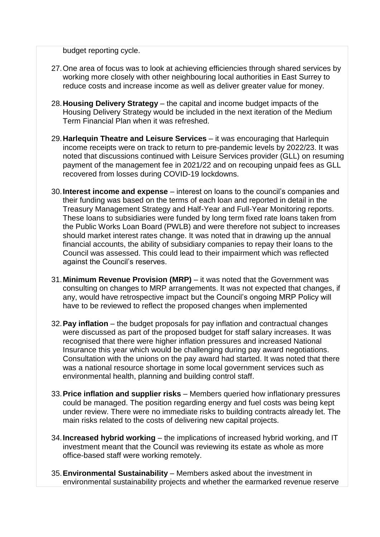budget reporting cycle.

- 27.One area of focus was to look at achieving efficiencies through shared services by working more closely with other neighbouring local authorities in East Surrey to reduce costs and increase income as well as deliver greater value for money.
- 28.**Housing Delivery Strategy** the capital and income budget impacts of the Housing Delivery Strategy would be included in the next iteration of the Medium Term Financial Plan when it was refreshed.
- 29.**Harlequin Theatre and Leisure Services** it was encouraging that Harlequin income receipts were on track to return to pre-pandemic levels by 2022/23. It was noted that discussions continued with Leisure Services provider (GLL) on resuming payment of the management fee in 2021/22 and on recouping unpaid fees as GLL recovered from losses during COVID-19 lockdowns.
- 30.**Interest income and expense** interest on loans to the council's companies and their funding was based on the terms of each loan and reported in detail in the Treasury Management Strategy and Half-Year and Full-Year Monitoring reports. These loans to subsidiaries were funded by long term fixed rate loans taken from the Public Works Loan Board (PWLB) and were therefore not subject to increases should market interest rates change. It was noted that in drawing up the annual financial accounts, the ability of subsidiary companies to repay their loans to the Council was assessed. This could lead to their impairment which was reflected against the Council's reserves.
- 31.**Minimum Revenue Provision (MRP)**  it was noted that the Government was consulting on changes to MRP arrangements. It was not expected that changes, if any, would have retrospective impact but the Council's ongoing MRP Policy will have to be reviewed to reflect the proposed changes when implemented
- 32.**Pay inflation** the budget proposals for pay inflation and contractual changes were discussed as part of the proposed budget for staff salary increases. It was recognised that there were higher inflation pressures and increased National Insurance this year which would be challenging during pay award negotiations. Consultation with the unions on the pay award had started. It was noted that there was a national resource shortage in some local government services such as environmental health, planning and building control staff.
- 33.**Price inflation and supplier risks**  Members queried how inflationary pressures could be managed. The position regarding energy and fuel costs was being kept under review. There were no immediate risks to building contracts already let. The main risks related to the costs of delivering new capital projects.
- 34.**Increased hybrid working** the implications of increased hybrid working, and IT investment meant that the Council was reviewing its estate as whole as more office-based staff were working remotely.
- 35.**Environmental Sustainability** Members asked about the investment in environmental sustainability projects and whether the earmarked revenue reserve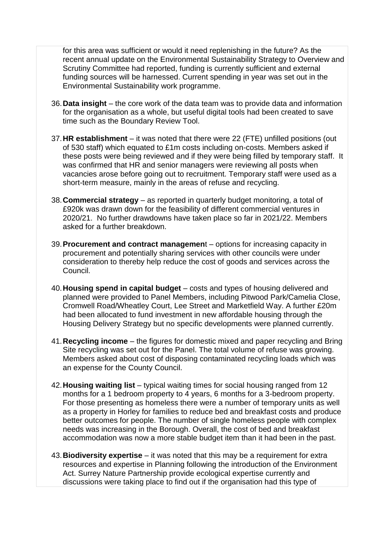for this area was sufficient or would it need replenishing in the future? As the recent annual update on the Environmental Sustainability Strategy to Overview and Scrutiny Committee had reported, funding is currently sufficient and external funding sources will be harnessed. Current spending in year was set out in the Environmental Sustainability work programme.

- 36.**Data insight**  the core work of the data team was to provide data and information for the organisation as a whole, but useful digital tools had been created to save time such as the Boundary Review Tool.
- 37.**HR establishment** it was noted that there were 22 (FTE) unfilled positions (out of 530 staff) which equated to £1m costs including on-costs. Members asked if these posts were being reviewed and if they were being filled by temporary staff. It was confirmed that HR and senior managers were reviewing all posts when vacancies arose before going out to recruitment. Temporary staff were used as a short-term measure, mainly in the areas of refuse and recycling.
- 38.**Commercial strategy**  as reported in quarterly budget monitoring, a total of £920k was drawn down for the feasibility of different commercial ventures in 2020/21. No further drawdowns have taken place so far in 2021/22. Members asked for a further breakdown.
- 39.**Procurement and contract managemen**t options for increasing capacity in procurement and potentially sharing services with other councils were under consideration to thereby help reduce the cost of goods and services across the Council.
- 40.**Housing spend in capital budget** costs and types of housing delivered and planned were provided to Panel Members, including Pitwood Park/Camelia Close, Cromwell Road/Wheatley Court, Lee Street and Marketfield Way. A further £20m had been allocated to fund investment in new affordable housing through the Housing Delivery Strategy but no specific developments were planned currently.
- 41.**Recycling income** the figures for domestic mixed and paper recycling and Bring Site recycling was set out for the Panel. The total volume of refuse was growing. Members asked about cost of disposing contaminated recycling loads which was an expense for the County Council.
- 42.**Housing waiting list**  typical waiting times for social housing ranged from 12 months for a 1 bedroom property to 4 years, 6 months for a 3-bedroom property. For those presenting as homeless there were a number of temporary units as well as a property in Horley for families to reduce bed and breakfast costs and produce better outcomes for people. The number of single homeless people with complex needs was increasing in the Borough. Overall, the cost of bed and breakfast accommodation was now a more stable budget item than it had been in the past.
- 43.**Biodiversity expertise** it was noted that this may be a requirement for extra resources and expertise in Planning following the introduction of the Environment Act. Surrey Nature Partnership provide ecological expertise currently and discussions were taking place to find out if the organisation had this type of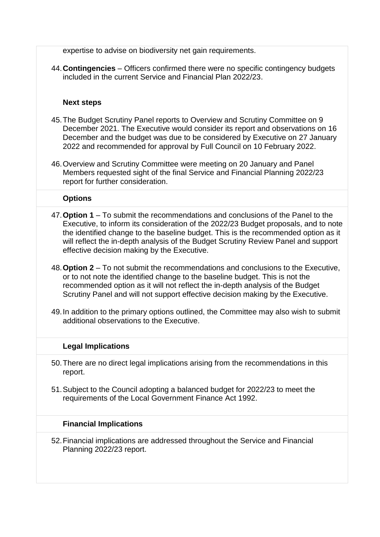expertise to advise on biodiversity net gain requirements.

44.**Contingencies** – Officers confirmed there were no specific contingency budgets included in the current Service and Financial Plan 2022/23.

# **Next steps**

- 45.The Budget Scrutiny Panel reports to Overview and Scrutiny Committee on 9 December 2021. The Executive would consider its report and observations on 16 December and the budget was due to be considered by Executive on 27 January 2022 and recommended for approval by Full Council on 10 February 2022.
- 46.Overview and Scrutiny Committee were meeting on 20 January and Panel Members requested sight of the final Service and Financial Planning 2022/23 report for further consideration.

## **Options**

- 47.**Option 1** To submit the recommendations and conclusions of the Panel to the Executive, to inform its consideration of the 2022/23 Budget proposals, and to note the identified change to the baseline budget. This is the recommended option as it will reflect the in-depth analysis of the Budget Scrutiny Review Panel and support effective decision making by the Executive.
- 48.**Option 2**  To not submit the recommendations and conclusions to the Executive, or to not note the identified change to the baseline budget. This is not the recommended option as it will not reflect the in-depth analysis of the Budget Scrutiny Panel and will not support effective decision making by the Executive.
- 49.In addition to the primary options outlined, the Committee may also wish to submit additional observations to the Executive.

### **Legal Implications**

- 50.There are no direct legal implications arising from the recommendations in this report.
- 51.Subject to the Council adopting a balanced budget for 2022/23 to meet the requirements of the Local Government Finance Act 1992.

### **Financial Implications**

52.Financial implications are addressed throughout the Service and Financial Planning 2022/23 report.